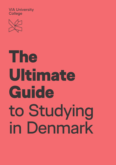VIA University **College** 



# The Ultimate **Guide** to Studying in Denmark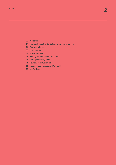- [Welcome](#page-2-0)
- [How to choose the right study programme for you](#page-3-0)
- [Test your choice](#page-5-0)
- [How to apply](#page-7-0)
- [Student budget](#page-9-0)
- [Finding student accommodation](#page-12-0)
- [Get a great study start!](#page-14-0)
- [How to get a student job](#page-17-0)
- [Ready to start a career in Denmark?](#page-20-0)
- [Useful links](#page-23-0)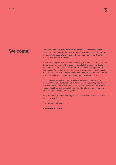### <span id="page-2-0"></span>**Welcome!**

Choosing what and where to study are some of the most important choices you will make during your lifetime. These choices will let you set the agenda for your future career and where you want to contribute to making a difference in the world.

Already locked your eyes on Denmark? Congratulations! Not only are the Danes known as some of the happiest people in the world, the Danish educational system is world renowned for its innovative approach to learning and for its high-quality academic environment. If you choose to make a career for yourself here after graduation, you will be able to do so in an informal working environment with great work-life balance.

This guide will prepare you for life as an international student in Denmark, with tips and guidance on how to prepare for your stay, how to get the best start to your studies, how to make the most of your time here – academically as well as socially - and how to take charge of you new life as a student in Denmark in general.

Have fun reading – and don't forget: The Danish weather is really not as bad as they say!

The International Team,

VIA University College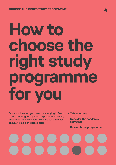# <span id="page-3-0"></span>**How to choose the right study programme for you**

Once you have set your mind on studying in Denmark, choosing the right study programme is very important – and very hard. Here are our three tips on how to make the right choice.

- **– Talk to others**
- **– Consider the academic approach**
- **Research the programme**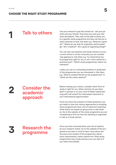**1 1 Talk to others** Use your network to get this sorted out - ask your parents and your friends. They know you and your interests and talents. They may not be able to direct you to a specific study programme, but they can tell you in which direction to look. Ask them e.g. "What am I good at?", "Where do you look for inspiration and knowledge", "Am I creative?", "Am I good at organising things?"

> You can also use teachers and study advisors at your current school or at the university you are considering applying to. Ask them e.g. "Is a theoretical study programme right for me, or, am I more suited for a practical one?", "Which study programmes match my interests?"

Lastly, you can try contacting students or graduates of the programmes you are interested in. Ask them e.g. "What is student life like at the programme?" or "What are the career options?"

Before making your choice, consider which form of study is right for you. When and how do you learn best? In groups or on your own? Problem based learning with real cases? Are internships important to you? International opportunities?

Once you know the answers to these questions, you are ready to look into various approaches to studying. Some programmes have a lot of classroom teaching, while others are based on group work or self-studies. Go to the website of the study programme you are considering to find out how the teaching is organised or talk to a study advisor.

# **3 Research the programme**

**2 Consider the** 

**academic** 

**approach**

Once you have narrowed down your list of options, do your research online. Go to the website of the programme you have in mind to learn more about the structure and content of the programme, admissions requirements, career options etc. Most study programmes have study advisors you can talk to if you need more details.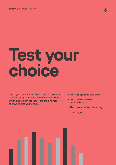#### <span id="page-5-0"></span>**6** TEST YOUR CHOISE

# **Test your choice**

When you have narrowed your choice down to a couple of options, it is time to find out exactly which one is right for you. Here are a number of ways to test your choice!

- **Join an open house event**
- **Join online events and webinars**
- **Become student for a day**
- **Try the job**

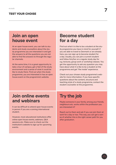### **Join an open house event**

At an open house event, you can talk to students and study counsellors about the study programme you are interested in and get the answers to all the questions you are not able to find the answers to through the regular channels.

At the same time, it is a great opportunity to take a tour of campus, get a feel of the study environment and a sense of what it could be like to study there. Find out when the study programme, you are interested in has an open house event on the programme's website.

### **Become student for a day**

Find out what it is like to be a student at the study programme you have in mind for yourself. If you are able to travel to Denmark or are already here, you can sign up to become student for a day. Usually, you can join a current student and follow him/her on a regular study day for e.g. lectures, group work or workshop classes. You get the opportunity to ask any question you may have about what it is like to be a student at the programme and get "the inside" experience.

Check out your chosen study programme's website for more information. If you have specific questions about the content, structure and teaching style of a study programme, contact the student counsellor at the programme.

### **Join online events and webinars**

It can be difficult to attend open house events in person if you are a coming international student.

However, most educational institutions offer online open house events, webinars, Q&A sessions etc. Make sure to check out the institution's website to sign up for upcoming events.

## **Try the job**

Maybe someone in your family, among your friends, neighbours etc. works within the profession you are interested in?

Reach out to them and ask if you can join them at work for a day or two. This way, you can get a sense of whether this is the right career path for you after graduation.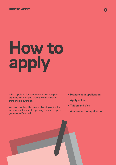#### <span id="page-7-0"></span>HOW TO APPLY **8**

# **How to apply**

When applying for admission at a study programme in Denmark, there are a number of things to be aware of.

We have put together a step-by-step guide for international students applying for a study programme in Denmark.

- **Prepare your application**
- **Apply online**
- **Tuition and Visa**
- **Assessment of application**

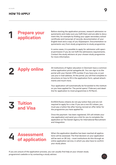# **1 Prepare your application**

Before starting the application process, research admission requirements and make sure you fulfil them and are able to document this, for example by finding your upper secondary school certificate and transcript of records, documentation of your English level and a copy of you ID/passport. Documentation requirements vary from study programme to study programme.

In some cases, it is possible to apply for admission with special permission if you do not fulfil the admissions requirements. Contact the study advisors at your chosen study programme for more information.

**2 Apply online** All institutions of higher education in Denmark have a common online application portal optagelse.dk. You can sign in to the online application portal optagelse.dk. You can sign in to the portal with your Danish CPR-number if you have one, or just use your e-mail address. At the portal, you will find complete instructions on how to fill in the application form, upload attachments and much more.

> Your application will automatically be forwarded to the institution you have applied for. The portal opens 1 February and deadline for application to most programmes is 15 March.

# **3 Tuition and Visa**

EU/EEA/Swiss citizens do not pay tuition fees and are not required to apply for a visa. If you are a non-EU citizen, you must pay a tuition fee after having recived an offer letter for the programme you have applied for.

Once the payment has been registered, VIA will initiate your visa application and send you a link for you to complete the application at The Danish Agency for International Recruitment and Integration.

## **4 Assessment of application**

When the application deadline has been reached all applications will be assessed. The final decision on your application will be sent on 28 July – most institutions do this through an online application service, in which you also have to confirm your study place.

If you are unsure of the application process, you can usually find help at your chosen study programme's website or by contacting a study advisor.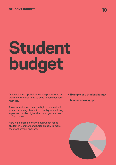#### <span id="page-9-0"></span>STUDENT BUDGET **100 Million and 100 Million and 100 Million** 200 Million 200 Million 200 Million 200 Million 200

# **Student budget**

Once you have applied to a study programme in Denmark, the first thing to do is to consider your finances.

As a student, money can be tight – especially if you are studying abroad in a country where living expenses may be higher than what you are used to from home.

Here is an example of a typical budget for at student in Denmark and 5 tips on how to make the most of your finances.

- **– Example of a student budget**
- **– 5 money-saving tips**

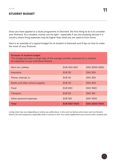#### STUDENT BUDGET

Once you have applied to a study programme in Denmark, the first thing to do is to consider your finances. As a student, money can be tight – especially if you are studying abroad in a country where living expenses may be higher than what you are used to from home.

Here is an example of a typical budget for at student in Denmark and 5 tips on how to make the most of your finances.

| <b>Example of student budget</b><br>This budget provides a rough idea of the average monthly expenses for a student,<br>but depends on your individual lifestyle. |                     |                      |  |
|-------------------------------------------------------------------------------------------------------------------------------------------------------------------|---------------------|----------------------|--|
| <b>Rent incl. utilities</b>                                                                                                                                       | <b>EUR 400-600</b>  | <b>DKK 3000-4500</b> |  |
| Insurance                                                                                                                                                         | <b>EUR 30</b>       | <b>DKK 200</b>       |  |
| Phone, internet, tv                                                                                                                                               | <b>EUR 40</b>       | <b>DKK 300</b>       |  |
| Books and other school supplies                                                                                                                                   | <b>EUR 40</b>       | <b>DKK 300</b>       |  |
| Food                                                                                                                                                              | <b>EUR 200</b>      | <b>DKK1500</b>       |  |
| <b>Transport</b>                                                                                                                                                  | <b>EUR 20</b>       | <b>DKK150</b>        |  |
| Other personal expenses                                                                                                                                           | <b>EUR 120</b>      | <b>DKK1000</b>       |  |
| <b>Total</b>                                                                                                                                                      | <b>EUR 850-1000</b> | <b>DKK 6500-7500</b> |  |

Living costs may vary depending on where you settle down. A city such as Aarhus and a town such as Horsens tend to be more expensive, especially when it comes to rent. You could supplement your income with a student job.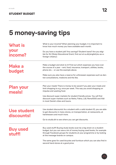# **5 money-saving tips**

| <b>What is</b>             | What is your income? When planning your budget, it is important to<br>know how much money you have available each month.                                                                                                                                   |  |  |
|----------------------------|------------------------------------------------------------------------------------------------------------------------------------------------------------------------------------------------------------------------------------------------------------|--|--|
| your<br>income?            | Do you have a student job? Any savings? Student loans? Are you eligi-<br>ble for SU (State Educational Grant, find out at su.dk/english/su-as-a-<br>foreign-citizen/)                                                                                      |  |  |
| <b>Make a</b><br>budget    | Make a budget and stick to it! Find out which expenses you have over<br>the course of a year - rent, food, insurance, transport, utilities, books,<br>phone etc. - or use the example above.                                                               |  |  |
|                            | Make sure you also have a reserve for unforeseen expenses such as den-<br>tist consultations, medicine and the like.                                                                                                                                       |  |  |
| <b>Plan your</b><br>meals! | Plan your meals! There is money to be saved if you plan your meals and<br>limit shopping to e.g. once per week. This way you avoid shopping on<br>impulse and wasting food.                                                                                |  |  |
|                            | Use discount super markets for student friendly prices. You will find<br>discount super markets such as Netto, Fakta, Lidl, Rema1000 and Aldi<br>in most Danish cities and towns.                                                                          |  |  |
| Use student<br>discounts!  | Use student discounts! As a student with a valid student ID, you are able<br>to get discounts in many stores, on transportation, at restaurants, at<br>hairdressers and much more.                                                                         |  |  |
|                            | Go to studiz.dk to see where you can get discounts.                                                                                                                                                                                                        |  |  |
| <b>Buy used</b><br>stuff!  | Buy used stuff! Buying study books scan be a big strain on a student<br>budget, but you can save a lot of money buying used books, for example<br>through Facebook groups for students at your programme or by looking<br>at the message boards on campus. |  |  |
|                            | The same goes for used bicycles and furniture which you can also find in<br>second hand stores at a good price.                                                                                                                                            |  |  |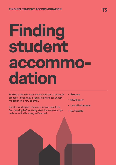# <span id="page-12-0"></span>**Finding student accommodation**

Finding a place to stay can be hard and a stressful process – especially if you are looking for accommodation in a new country.

But do not despair. There is a lot you can do to find housing before study start. Here are our tips on how to find housing in Denmark.

- **- Prepare**
- **- Start early**
- **- Use all channels**
- **- Be flexible**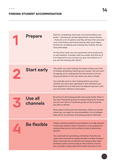|   | <b>Prepare</b>             | Start by considering what type of accommodation you<br>prefer - dormitories, private apartments, house sharing<br>- there are a lot of options and they all have their pros and<br>cons. Dormitories and house sharing offer great oppor-<br>tunities for socialising and meeting new friends, and are<br>more affordable.<br>On the other hand, you own apartment will provide priva-<br>cy and freedom. Consider what you prefer and find out if<br>it is important to you to have e.g. your own kitchen or if<br>you are fine sharing with others. |
|---|----------------------------|-------------------------------------------------------------------------------------------------------------------------------------------------------------------------------------------------------------------------------------------------------------------------------------------------------------------------------------------------------------------------------------------------------------------------------------------------------------------------------------------------------------------------------------------------------|
|   | <b>Start early</b>         | The earlier you start looking, the better chance you have<br>of finding something matching your wishes. You can start<br>by signing up for waiting lists for dormitories or at hou-<br>sing associations in the city where you plan to study.<br>You probably have to start looking before you know<br>whether you have been admitted to the institution you<br>have applied for, but hold back the deposit payment until<br>you have been offered a study place.                                                                                     |
| K | <b>Use all</b><br>channels | Be active on all housing portals and social media. Most ci-<br>ties have Facebook groups for people looking for housing<br>and you can also try Facebook groups at the university<br>you plan to attend.<br>Most cities in Denmark have dormitory offices or portals<br>where you can apply for accommodation. Go to boligpor-<br>talen.dk for an overview of housing portals in Denmark.                                                                                                                                                             |
|   | <b>Be flexible</b>         | Cheap, centrally located accommodation is in high demand<br>in the large student cities in Denmark, so be prepared to<br>compromise and do not be afraid to look at alternative<br>options.<br>You could look for something a bit farther from the city<br>centre and commute to campus by bike or public transpor-<br>tation. Denmark has an efficient and cheap public trans-<br>portation system and by living on the outskirts of town,<br>you could get a larger apartment and/or pay less in rent.                                              |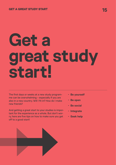# <span id="page-14-0"></span>**Get a great study start!**

The first days or weeks at a new study programme can be overwhelming – especially if you are also in a new country. Will I fit in? How do I make new friends?

And getting a great start to your studies is important for the experience as a whole. But don't worry, here are five tips on how to make sure you get off to a good start!

- **- Be yourself**
- **- Be open**
- **- Be social**
- **- Integrate**
- **- Seek help**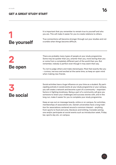#### en.via.dk **16** GET A GREAT STUDY START

# **1 Be yourself**

It is important that you remember to remain true to yourself and who you are. This will make it easier for you to create relations to others.

True connections will become stronger through out your studies and not crumble when things become difficult.



There are probably many types of people at your study programme. Some may be quieter than you, smarter than you, more boring than you or come from a completely different part of the world than you. But remember, nobody is perfect even though it may seem that way.

Try not to judge others and make stereotypes. Most feel exactly like you – curious, nervous and excited at the same time, so keep an open mind when making new friends.



Social activities have a huge influence on your time as a student. By participating actively in social events at your study programme or your campus, you will create a network and become a part of a community – important factors in fighting loneliness. Being a part of a community will give you someone to share your challenges and success stories with, and in the long run, make it easier for you to complete your study programme.

Keep an eye out on message boards, online or on campus, for activities, memberships of associations etc. Danish universities have a long tradition for associations centered around a common interest – anything from sports to food and wine, literature and knitting. Consider joining one and/or participate at social events such as introduction week, Friday bar, sports day etc. on campus.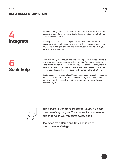

Being in a foreign country can be hard. The culture is different, the language, the food. Consider taking Danish lessons – at some institutions they are available for free.

Knowing basic Danish will help you make Danish friends and make it easier for you to conduct your everyday activities such as grocery shopping, going to the gym etc. Knowing the language is also helpful if you want to get a student job.



Many feel lonely even though they are around people every day. There is no one answer to what makes one feel like this. There are certain situations during your studies in which you may feel lonely – at study start, if you get behind on your homework and are not able to keep up with the rest of your class or if you lose touch with friends and family at home.

Student counsellors, psychologist/therapists, student chaplain or coaches are available at most institutions. They can help you and talk to you about your challenges. Ask your study programme which options are available to you.



*The people in Denmark are usually super nice and they are always happy. They are really open minded and that helps you integrate pretty good.*

Joel Arias from Barcelona, Spain, student at VIA University College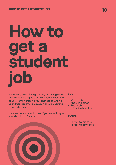# <span id="page-17-0"></span>**How to get a student job**

A student job can be a great way of gaining experience and building up a network during your time at university, increasing your chances of landing your dream job after graduation, all while earning some extra cash.

Here are our 6 dos and don'ts if you are looking for a student job in Denmark.

#### **DO:**

- Write a CV
- Apply in person
- Research
- Join a trade union

#### **DON'T:**

- Forget to prepare
- Forget to pay taxes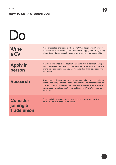#### en.via.dk **19** HOW TO GET A STUDENT JOB

| DO                                          |                                                                                                                                                                                                                                                                                                                  |
|---------------------------------------------|------------------------------------------------------------------------------------------------------------------------------------------------------------------------------------------------------------------------------------------------------------------------------------------------------------------|
| <b>Write</b><br>a CV                        | Write a targeted, short and to-the-point CV and application/cover let-<br>ter - make sure to include your motivations for applying for the job, any<br>relevant experience, education and a few words on your personality.                                                                                       |
| <b>Apply in</b><br>person                   | When sending unsolicited applications, hand in your application in per-<br>son, preferably to the person in charge of the department you are ap-<br>plying for - this shows that you are motivated and makes a good first<br>impression.                                                                         |
| <b>Research</b>                             | If you get the job, make sure to get a contract and that the salary is rea-<br>sonable and comparable to what a Dane would be paid for the same job.<br>There is no minimum wage in Denmark as a whole and standards vary<br>from industry to industry, but you should aim for 110 DKK per hour as a<br>minimum. |
| <b>Consider</b><br>joining a<br>trade union | They can help you understand the rules and provide support if you<br>have a falling out with your employer.                                                                                                                                                                                                      |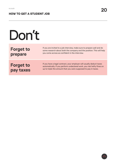en.via.dk **20** HOW TO GET A STUDENT JOB

| Don't                         |                                                                                                                                                                                                                    |
|-------------------------------|--------------------------------------------------------------------------------------------------------------------------------------------------------------------------------------------------------------------|
| <b>Forget to</b><br>prepare   | If you are invited to a job interview, make sure to prepare well and do<br>some research about both the company and the position. This will help<br>you come across as confident in the interview.                 |
| <b>Forget to</b><br>pay taxes | If you have a legal contract, your employer will usually deduct taxes<br>automatically. If you perform undeclared work, you risk hefty fines on<br>up to triple the amount that you were supposed to pay in taxes. |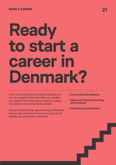# <span id="page-20-0"></span>**Ready to start a career II Denmark?**

If you have not already considered making a career for yourself in Denmark after your studies, you should! The Danish labour market is calling for skilled work and international talent.

Here are 3 great things about working in Denmark and our tips on how to increase your chances of landing your dream job in Denmark.

- **– Great work-life balance**
- **– Open and informal working environment**
- **– Innovative environment**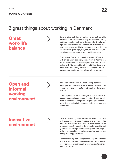## 3 great things about working in Denmark

### **Great work-life balance**

Denmark is widely known for having a great work-life balance with room and flexibility for a life with family and friends outside of work. Combined with relatively high salaries, this makes Denmark an attractive place to settle down and build a career. It is true that the tax levels are quite high, but, in turn, this means universal access to free education and health care.

The average Danish workweek is around 37 hours, with office hours generally being from 8-9 am to 4-5 pm, earlier on Fridays, leaving plenty of room to socialise with friends and family. In addition, Denmark has a well-functioning public day care system that can accommodate families with working parents.

### **Open and informal working environment**



At Danish workplaces, the relationship between employee and manager is generally relaxed and open – much as is the case between Danish students and lecturers.

Critical questions are encouraged and the culture is based on open dialogue. As a result of this culture, individual employees are given a high degree of autonomy, but are also held responsible for their own areas of work.

### **Innovative environment**



Denmark is among the frontrunners when it comes to architecture, design, construction and green development, so if you have an interest in working within one of these fields, Denmark is the place for you. Currently, there is a shortage of university graduates, especially in technical fields and engineering, so there are plenty of job opportunities.

Denmark has a great entrepreneurial spirit and offers practical support and business support and consultancy services to individuals who want to start their own businesses.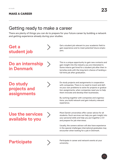### Getting ready to make a career

There are plenty of things you can do to prepare for your future career by building a network and getting experience already during your studies.